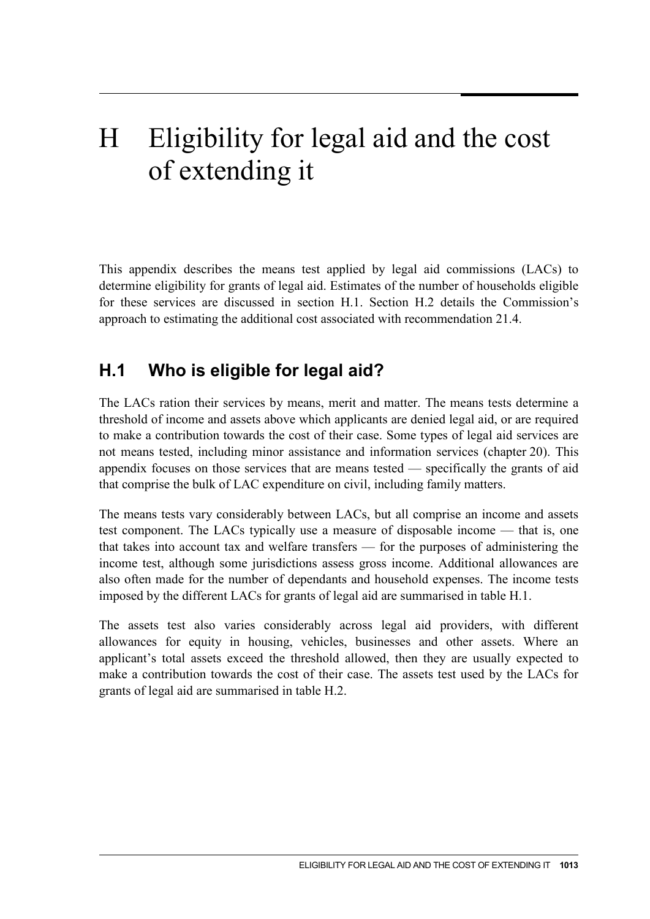# H Eligibility for legal aid and the cost of extending it

This appendix describes the means test applied by legal aid commissions (LACs) to determine eligibility for grants of legal aid. Estimates of the number of households eligible for these services are discussed in section H.1. Section H.2 details the Commission's approach to estimating the additional cost associated with recommendation 21.4.

# **H.1 Who is eligible for legal aid?**

The LACs ration their services by means, merit and matter. The means tests determine a threshold of income and assets above which applicants are denied legal aid, or are required to make a contribution towards the cost of their case. Some types of legal aid services are not means tested, including minor assistance and information services (chapter 20). This appendix focuses on those services that are means tested — specifically the grants of aid that comprise the bulk of LAC expenditure on civil, including family matters.

The means tests vary considerably between LACs, but all comprise an income and assets test component. The LACs typically use a measure of disposable income — that is, one that takes into account tax and welfare transfers — for the purposes of administering the income test, although some jurisdictions assess gross income. Additional allowances are also often made for the number of dependants and household expenses. The income tests imposed by the different LACs for grants of legal aid are summarised in table H.1.

<span id="page-0-0"></span>The assets test also varies considerably across legal aid providers, with different allowances for equity in housing, vehicles, businesses and other assets. Where an applicant's total assets exceed the threshold allowed, then they are usually expected to make a contribution towards the cost of their case. The assets test used by the LACs for grants of legal aid are summarised in table H.2.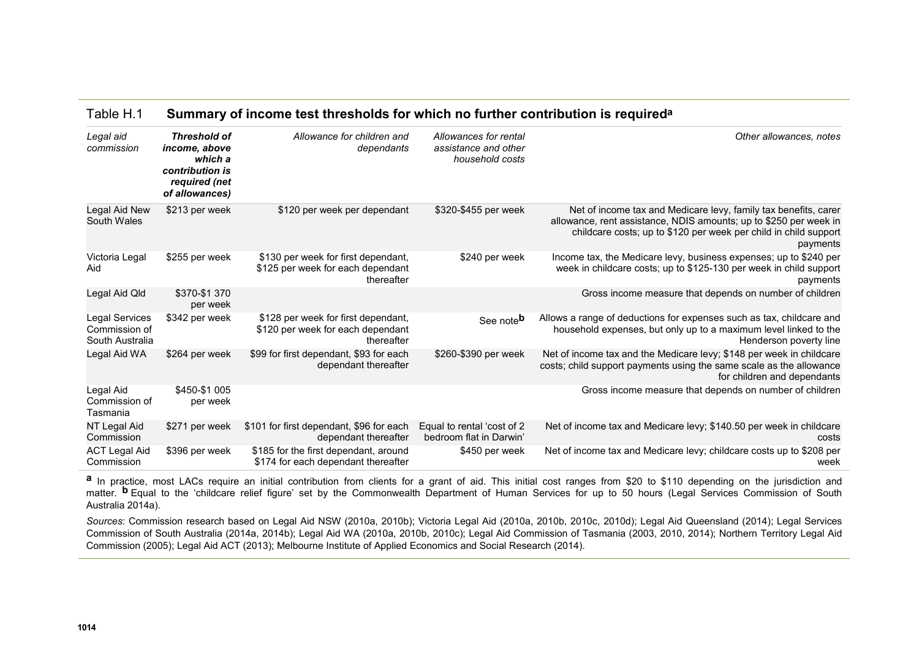| Table H.1 | Summary of income test thresholds for which no further contribution is required <sup>a</sup> |  |
|-----------|----------------------------------------------------------------------------------------------|--|
|-----------|----------------------------------------------------------------------------------------------|--|

| Legal aid<br>commission                                   | <b>Threshold of</b><br>income, above<br>which a<br>contribution is<br>required (net | Allowance for children and<br>dependants                                               | Allowances for rental<br>assistance and other<br>household costs | Other allowances, notes                                                                                                                                                    |
|-----------------------------------------------------------|-------------------------------------------------------------------------------------|----------------------------------------------------------------------------------------|------------------------------------------------------------------|----------------------------------------------------------------------------------------------------------------------------------------------------------------------------|
| Legal Aid New                                             | of allowances)<br>\$213 per week                                                    | \$120 per week per dependant                                                           | \$320-\$455 per week                                             | Net of income tax and Medicare levy, family tax benefits, carer                                                                                                            |
| South Wales                                               |                                                                                     |                                                                                        |                                                                  | allowance, rent assistance, NDIS amounts; up to \$250 per week in<br>childcare costs; up to \$120 per week per child in child support<br>payments                          |
| Victoria Legal<br>Aid                                     | \$255 per week                                                                      | \$130 per week for first dependant,<br>\$125 per week for each dependant<br>thereafter | \$240 per week                                                   | Income tax, the Medicare levy, business expenses; up to \$240 per<br>week in childcare costs; up to \$125-130 per week in child support<br>payments                        |
| Legal Aid Qld                                             | \$370-\$1370<br>per week                                                            |                                                                                        |                                                                  | Gross income measure that depends on number of children                                                                                                                    |
| <b>Legal Services</b><br>Commission of<br>South Australia | \$342 per week                                                                      | \$128 per week for first dependant,<br>\$120 per week for each dependant<br>thereafter | See note <sup>b</sup>                                            | Allows a range of deductions for expenses such as tax, childcare and<br>household expenses, but only up to a maximum level linked to the<br>Henderson poverty line         |
| Legal Aid WA                                              | \$264 per week                                                                      | \$99 for first dependant, \$93 for each<br>dependant thereafter                        | \$260-\$390 per week                                             | Net of income tax and the Medicare levy; \$148 per week in childcare<br>costs; child support payments using the same scale as the allowance<br>for children and dependants |
| Legal Aid<br>Commission of<br>Tasmania                    | \$450-\$1 005<br>per week                                                           |                                                                                        |                                                                  | Gross income measure that depends on number of children                                                                                                                    |
| NT Legal Aid<br>Commission                                | \$271 per week                                                                      | \$101 for first dependant, \$96 for each<br>dependant thereafter                       | Equal to rental 'cost of 2<br>bedroom flat in Darwin'            | Net of income tax and Medicare levy; \$140.50 per week in childcare<br>costs                                                                                               |
| <b>ACT Legal Aid</b><br>Commission                        | \$396 per week                                                                      | \$185 for the first dependant, around<br>\$174 for each dependant thereafter           | \$450 per week                                                   | Net of income tax and Medicare levy; childcare costs up to \$208 per<br>week                                                                                               |

**a** In practice, most LACs require an initial contribution from clients for a grant of aid. This initial cost ranges from \$20 to \$110 depending on the jurisdiction and matter. <sup>b</sup> Equal to the 'childcare relief figure' set by the Commonwealth Department of Human Services for up to 50 hours (Legal Services Commission of South Australia 2014a).

*Sources*: Commission research based on Legal Aid NSW (2010a, 2010b); Victoria Legal Aid (2010a, 2010b, 2010c, 2010d); Legal Aid Queensland (2014); Legal Services Commission of South Australia (2014a, 2014b); Legal Aid WA (2010a, 2010b, 2010c); Legal Aid Commission of Tasmania (2003, 2010, 2014); Northern Territory Legal Aid Commission (2005); Legal Aid ACT (2013); Melbourne Institute of Applied Economics and Social Research (2014).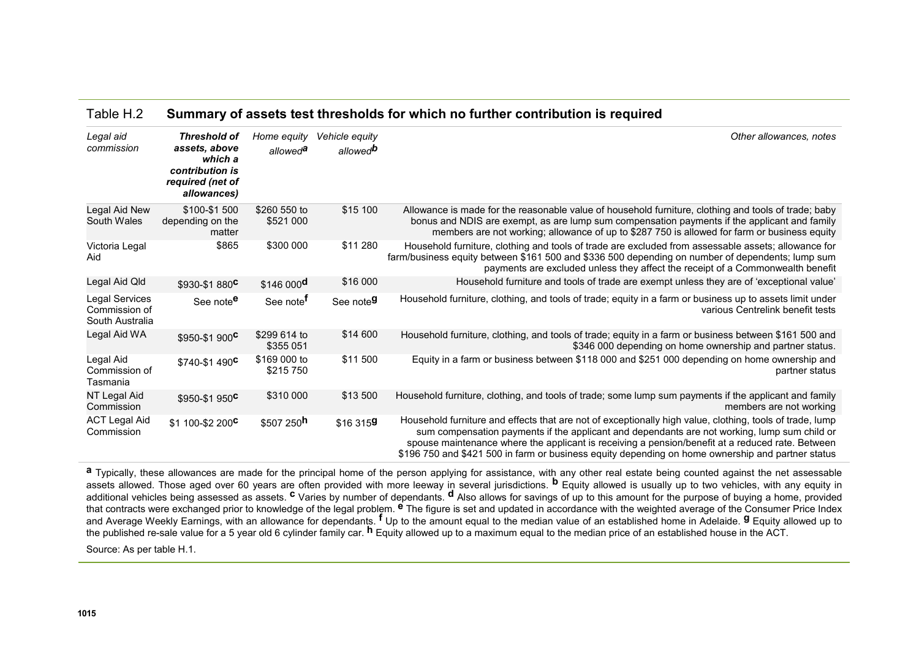#### Table H.2 **Summary of assets test thresholds for which no further contribution is required**

| Legal aid<br>commission                            | Threshold of<br>assets, above<br>which a<br>contribution is<br>required (net of<br>allowances) | Home equity<br>allowed <sup>a</sup> | Vehicle equity<br>allowed <sup>b</sup> | Other allowances, notes                                                                                                                                                                                                                                                                                                                                                                                           |
|----------------------------------------------------|------------------------------------------------------------------------------------------------|-------------------------------------|----------------------------------------|-------------------------------------------------------------------------------------------------------------------------------------------------------------------------------------------------------------------------------------------------------------------------------------------------------------------------------------------------------------------------------------------------------------------|
| Legal Aid New<br>South Wales                       | \$100-\$1500<br>depending on the<br>matter                                                     | \$260 550 to<br>\$521 000           | \$15 100                               | Allowance is made for the reasonable value of household furniture, clothing and tools of trade; baby<br>bonus and NDIS are exempt, as are lump sum compensation payments if the applicant and family<br>members are not working; allowance of up to \$287 750 is allowed for farm or business equity                                                                                                              |
| Victoria Legal<br>Aid                              | \$865                                                                                          | \$300 000                           | \$11 280                               | Household furniture, clothing and tools of trade are excluded from assessable assets; allowance for<br>farm/business equity between \$161 500 and \$336 500 depending on number of dependents; lump sum<br>payments are excluded unless they affect the receipt of a Commonwealth benefit                                                                                                                         |
| Legal Aid Qld                                      | \$930-\$1880 <sup>C</sup>                                                                      | $$146000$ <sup>d</sup>              | \$16 000                               | Household furniture and tools of trade are exempt unless they are of 'exceptional value'                                                                                                                                                                                                                                                                                                                          |
| Legal Services<br>Commission of<br>South Australia | See note <sup>e</sup>                                                                          | See note <sup>f</sup>               | See note <sup>g</sup>                  | Household furniture, clothing, and tools of trade; equity in a farm or business up to assets limit under<br>various Centrelink benefit tests                                                                                                                                                                                                                                                                      |
| Legal Aid WA                                       | \$950-\$1 900 <sup>c</sup>                                                                     | \$299 614 to<br>\$355 051           | \$14 600                               | Household furniture, clothing, and tools of trade; equity in a farm or business between \$161 500 and<br>\$346 000 depending on home ownership and partner status.                                                                                                                                                                                                                                                |
| Legal Aid<br>Commission of<br>Tasmania             | \$740-\$1 490 <sup>C</sup>                                                                     | \$169 000 to<br>\$215750            | \$11 500                               | Equity in a farm or business between \$118 000 and \$251 000 depending on home ownership and<br>partner status                                                                                                                                                                                                                                                                                                    |
| NT Legal Aid<br>Commission                         | $$950-$1950^C$                                                                                 | \$310 000                           | \$13 500                               | Household furniture, clothing, and tools of trade; some lump sum payments if the applicant and family<br>members are not working                                                                                                                                                                                                                                                                                  |
| <b>ACT Legal Aid</b><br>Commission                 | \$1 100-\$2 200 <sup>C</sup>                                                                   | $$507250$ <sup>h</sup>              | \$16 3159                              | Household furniture and effects that are not of exceptionally high value, clothing, tools of trade, lump<br>sum compensation payments if the applicant and dependants are not working, lump sum child or<br>spouse maintenance where the applicant is receiving a pension/benefit at a reduced rate. Between<br>\$196 750 and \$421 500 in farm or business equity depending on home ownership and partner status |

a Typically, these allowances are made for the principal home of the person applying for assistance, with any other real estate being counted against the net assessable assets allowed. Those aged over 60 years are often provided with more leeway in several jurisdictions. **b** Equity allowed is usually up to two vehicles, with any equity in additional vehicles being assessed as assets. **c** Varies by number of dependants. **d** Also allows for savings of up to this amount for the purpose of buying a home, provided that contracts were exchanged prior to knowledge of the legal problem. **e** The figure is set and updated in accordance with the weighted average of the Consumer Price Index and Average Weekly Earnings, with an allowance for dependants. **f** Up to the amount equal to the median value of an established home in Adelaide. **g** Equity allowed up to the published re-sale value for a 5 year old 6 cylinder family car. **h** Equity allowed up to a maximum equal to the median price of an established house in the ACT.

Source: As per table H.1.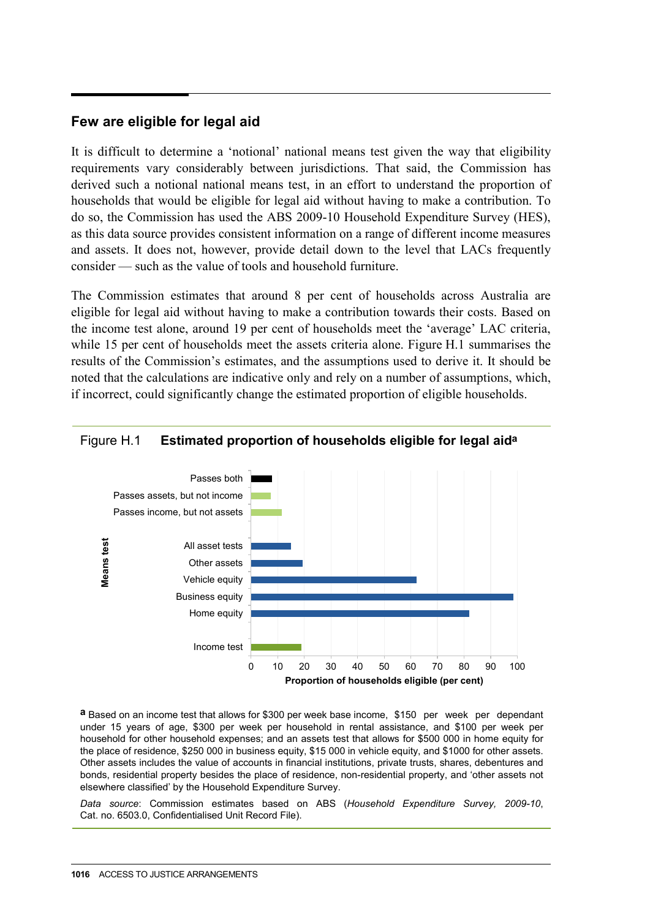#### **Few are eligible for legal aid**

It is difficult to determine a 'notional' national means test given the way that eligibility requirements vary considerably between jurisdictions. That said, the Commission has derived such a notional national means test, in an effort to understand the proportion of households that would be eligible for legal aid without having to make a contribution. To do so, the Commission has used the ABS 2009-10 Household Expenditure Survey (HES), as this data source provides consistent information on a range of different income measures and assets. It does not, however, provide detail down to the level that LACs frequently consider — such as the value of tools and household furniture.

The Commission estimates that around 8 per cent of households across Australia are eligible for legal aid without having to make a contribution towards their costs. Based on the income test alone, around 19 per cent of households meet the 'average' LAC criteria, while 15 per cent of households meet the assets criteria alone. Figure H.1 summarises the results of the Commission's estimates, and the assumptions used to derive it. It should be noted that the calculations are indicative only and rely on a number of assumptions, which, if incorrect, could significantly change the estimated proportion of eligible households.



#### Figure H.1 **Estimated proportion of households eligible for legal aida**

**a** Based on an income test that allows for \$300 per week base income, \$150 per week per dependant under 15 years of age, \$300 per week per household in rental assistance, and \$100 per week per household for other household expenses; and an assets test that allows for \$500 000 in home equity for the place of residence, \$250 000 in business equity, \$15 000 in vehicle equity, and \$1000 for other assets. Other assets includes the value of accounts in financial institutions, private trusts, shares, debentures and bonds, residential property besides the place of residence, non-residential property, and 'other assets not elsewhere classified' by the Household Expenditure Survey.

*Data source*: Commission estimates based on ABS (*Household Expenditure Survey, 2009-10*, Cat. no. 6503.0, Confidentialised Unit Record File).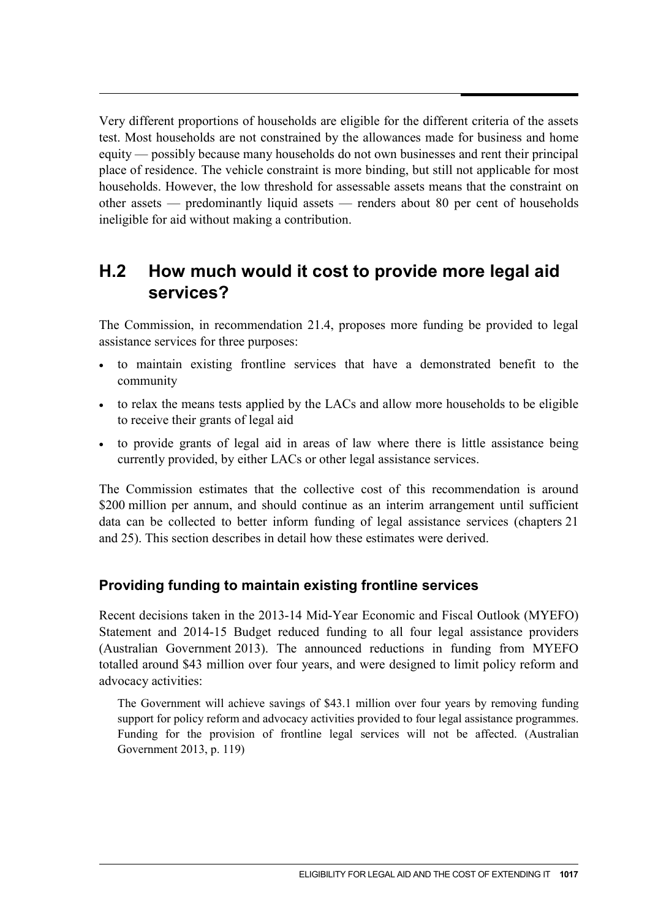Very different proportions of households are eligible for the different criteria of the assets test. Most households are not constrained by the allowances made for business and home equity — possibly because many households do not own businesses and rent their principal place of residence. The vehicle constraint is more binding, but still not applicable for most households. However, the low threshold for assessable assets means that the constraint on other assets — predominantly liquid assets — renders about 80 per cent of households ineligible for aid without making a contribution.

# **H.2 How much would it cost to provide more legal aid services?**

The Commission, in recommendation 21.4, proposes more funding be provided to legal assistance services for three purposes:

- to maintain existing frontline services that have a demonstrated benefit to the community
- to relax the means tests applied by the LACs and allow more households to be eligible to receive their grants of legal aid
- to provide grants of legal aid in areas of law where there is little assistance being currently provided, by either LACs or other legal assistance services.

The Commission estimates that the collective cost of this recommendation is around \$200 million per annum, and should continue as an interim arrangement until sufficient data can be collected to better inform funding of legal assistance services (chapters 21 and 25). This section describes in detail how these estimates were derived.

## **Providing funding to maintain existing frontline services**

Recent decisions taken in the 2013-14 Mid-Year Economic and Fiscal Outlook (MYEFO) Statement and 2014-15 Budget reduced funding to all four legal assistance providers (Australian Government 2013). The announced reductions in funding from MYEFO totalled around \$43 million over four years, and were designed to limit policy reform and advocacy activities:

The Government will achieve savings of \$43.1 million over four years by removing funding support for policy reform and advocacy activities provided to four legal assistance programmes. Funding for the provision of frontline legal services will not be affected. (Australian Government 2013, p. 119)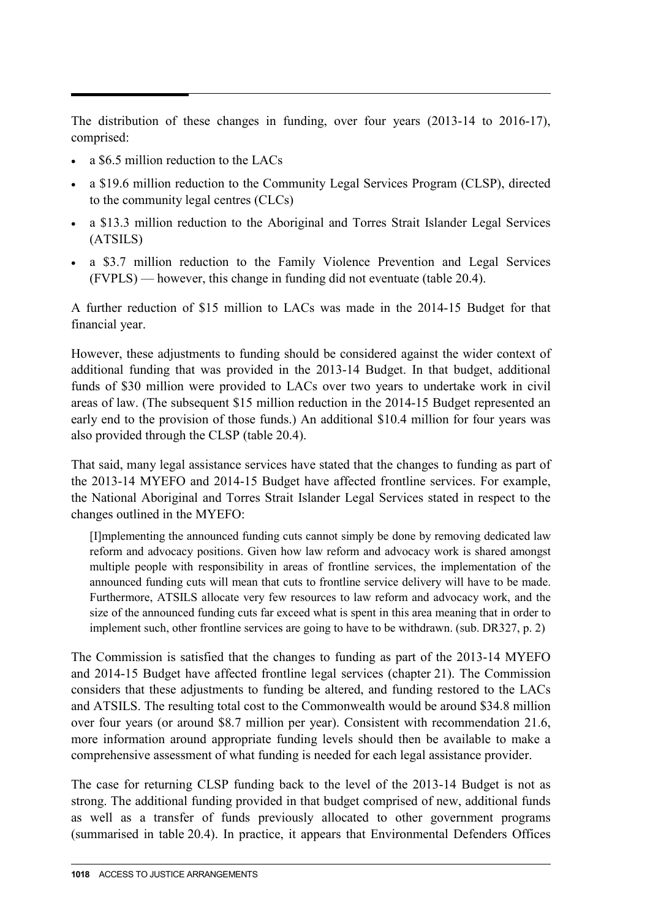The distribution of these changes in funding, over four years (2013-14 to 2016-17), comprised:

- a \$6.5 million reduction to the LACs
- a \$19.6 million reduction to the Community Legal Services Program (CLSP), directed to the community legal centres (CLCs)
- a \$13.3 million reduction to the Aboriginal and Torres Strait Islander Legal Services (ATSILS)
- a \$3.7 million reduction to the Family Violence Prevention and Legal Services (FVPLS) — however, this change in funding did not eventuate (table 20.4).

A further reduction of \$15 million to LACs was made in the 2014-15 Budget for that financial year.

However, these adjustments to funding should be considered against the wider context of additional funding that was provided in the 2013-14 Budget. In that budget, additional funds of \$30 million were provided to LACs over two years to undertake work in civil areas of law. (The subsequent \$15 million reduction in the 2014-15 Budget represented an early end to the provision of those funds.) An additional \$10.4 million for four years was also provided through the CLSP (table 20.4).

That said, many legal assistance services have stated that the changes to funding as part of the 2013-14 MYEFO and 2014-15 Budget have affected frontline services. For example, the National Aboriginal and Torres Strait Islander Legal Services stated in respect to the changes outlined in the MYEFO:

[I]mplementing the announced funding cuts cannot simply be done by removing dedicated law reform and advocacy positions. Given how law reform and advocacy work is shared amongst multiple people with responsibility in areas of frontline services, the implementation of the announced funding cuts will mean that cuts to frontline service delivery will have to be made. Furthermore, ATSILS allocate very few resources to law reform and advocacy work, and the size of the announced funding cuts far exceed what is spent in this area meaning that in order to implement such, other frontline services are going to have to be withdrawn. (sub. DR327, p. 2)

The Commission is satisfied that the changes to funding as part of the 2013-14 MYEFO and 2014-15 Budget have affected frontline legal services (chapter 21). The Commission considers that these adjustments to funding be altered, and funding restored to the LACs and ATSILS. The resulting total cost to the Commonwealth would be around \$34.8 million over four years (or around \$8.7 million per year). Consistent with recommendation 21.6, more information around appropriate funding levels should then be available to make a comprehensive assessment of what funding is needed for each legal assistance provider.

The case for returning CLSP funding back to the level of the 2013-14 Budget is not as strong. The additional funding provided in that budget comprised of new, additional funds as well as a transfer of funds previously allocated to other government programs (summarised in table 20.4). In practice, it appears that Environmental Defenders Offices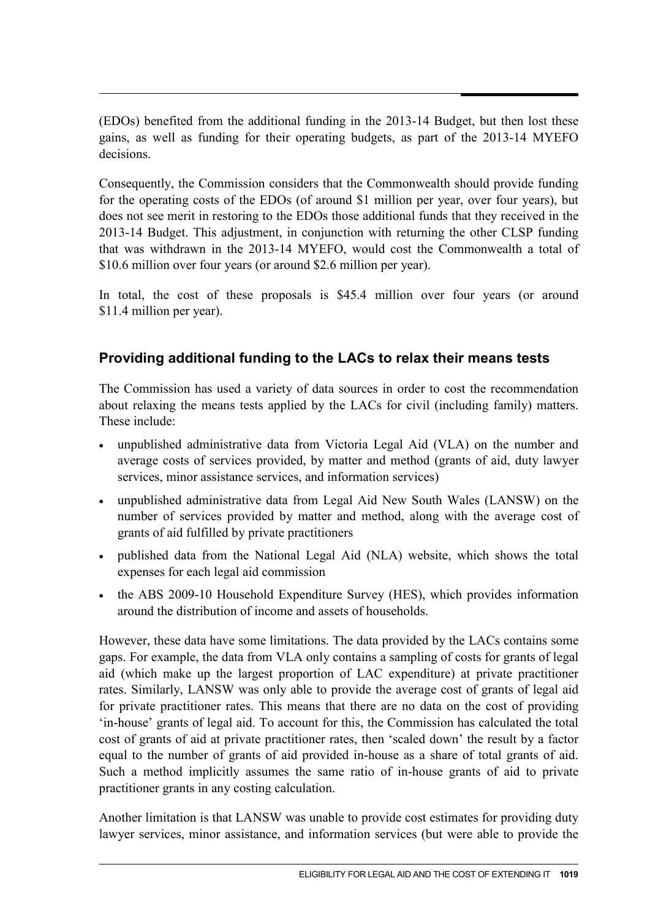(EDOs) benefited from the additional funding in the 2013-14 Budget, but then lost these gains, as well as funding for their operating budgets, as part of the 2013-14 MYEFO decisions.

Consequently, the Commission considers that the Commonwealth should provide funding for the operating costs of the EDOs (of around \$1 million per year, over four years), but does not see merit in restoring to the EDOs those additional funds that they received in the 2013-14 Budget. This adjustment, in conjunction with returning the other CLSP funding that was withdrawn in the 2013-14 MYEFO, would cost the Commonwealth a total of \$10.6 million over four years (or around \$2.6 million per year).

In total, the cost of these proposals is \$45.4 million over four years (or around \$11.4 million per year).

# **Providing additional funding to the LACs to relax their means tests**

The Commission has used a variety of data sources in order to cost the recommendation about relaxing the means tests applied by the LACs for civil (including family) matters. These include:

- unpublished administrative data from Victoria Legal Aid (VLA) on the number and average costs of services provided, by matter and method (grants of aid, duty lawyer services, minor assistance services, and information services)
- unpublished administrative data from Legal Aid New South Wales (LANSW) on the number of services provided by matter and method, along with the average cost of grants of aid fulfilled by private practitioners
- published data from the National Legal Aid (NLA) website, which shows the total expenses for each legal aid commission
- the ABS 2009-10 Household Expenditure Survey (HES), which provides information around the distribution of income and assets of households.

However, these data have some limitations. The data provided by the LACs contains some gaps. For example, the data from VLA only contains a sampling of costs for grants of legal aid (which make up the largest proportion of LAC expenditure) at private practitioner rates. Similarly, LANSW was only able to provide the average cost of grants of legal aid for private practitioner rates. This means that there are no data on the cost of providing 'in-house' grants of legal aid. To account for this, the Commission has calculated the total cost of grants of aid at private practitioner rates, then 'scaled down' the result by a factor equal to the number of grants of aid provided in-house as a share of total grants of aid. Such a method implicitly assumes the same ratio of in-house grants of aid to private practitioner grants in any costing calculation.

Another limitation is that LANSW was unable to provide cost estimates for providing duty lawyer services, minor assistance, and information services (but were able to provide the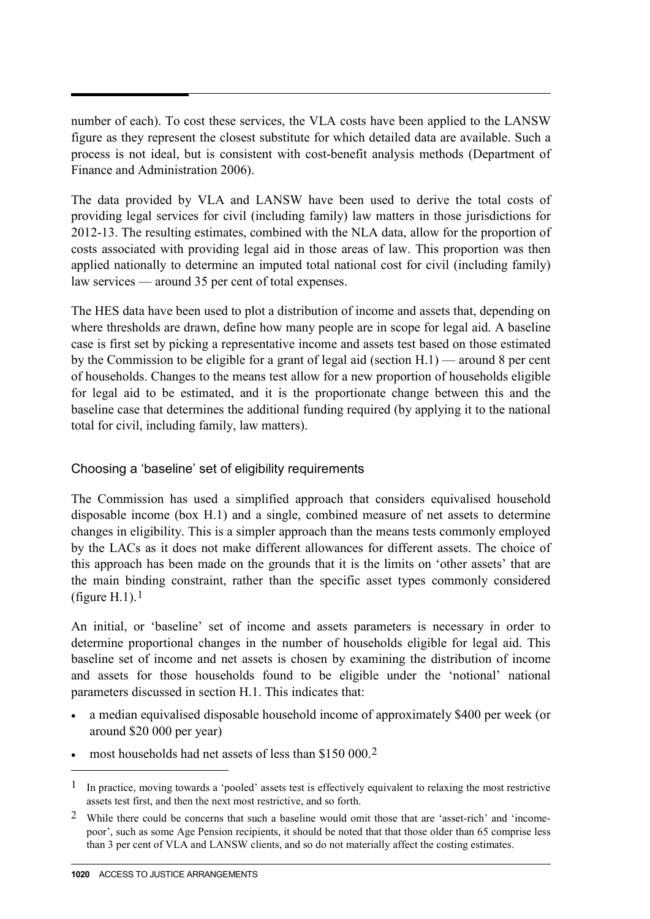number of each). To cost these services, the VLA costs have been applied to the LANSW figure as they represent the closest substitute for which detailed data are available. Such a process is not ideal, but is consistent with cost-benefit analysis methods (Department of Finance and Administration 2006).

The data provided by VLA and LANSW have been used to derive the total costs of providing legal services for civil (including family) law matters in those jurisdictions for 2012-13. The resulting estimates, combined with the NLA data, allow for the proportion of costs associated with providing legal aid in those areas of law. This proportion was then applied nationally to determine an imputed total national cost for civil (including family) law services — around 35 per cent of total expenses.

The HES data have been used to plot a distribution of income and assets that, depending on where thresholds are drawn, define how many people are in scope for legal aid. A baseline case is first set by picking a representative income and assets test based on those estimated by the Commission to be eligible for a grant of legal aid (section H.1) — around 8 per cent of households. Changes to the means test allow for a new proportion of households eligible for legal aid to be estimated, and it is the proportionate change between this and the baseline case that determines the additional funding required (by applying it to the national total for civil, including family, law matters).

#### Choosing a 'baseline' set of eligibility requirements

The Commission has used a simplified approach that considers equivalised household disposable income (box H.1) and a single, combined measure of net assets to determine changes in eligibility. This is a simpler approach than the means tests commonly employed by the LACs as it does not make different allowances for different assets. The choice of this approach has been made on the grounds that it is the limits on 'other assets' that are the main binding constraint, rather than the specific asset types commonly considered (figure H.[1](#page-0-0)).<sup>1</sup>

An initial, or 'baseline' set of income and assets parameters is necessary in order to determine proportional changes in the number of households eligible for legal aid. This baseline set of income and net assets is chosen by examining the distribution of income and assets for those households found to be eligible under the 'notional' national parameters discussed in section H.1. This indicates that:

- a median equivalised disposable household income of approximately \$400 per week (or around \$20 000 per year)
- most households had net assets of less than \$150 000.<sup>[2](#page-7-0)</sup>

 $\overline{a}$ 

<sup>1</sup> In practice, moving towards a 'pooled' assets test is effectively equivalent to relaxing the most restrictive assets test first, and then the next most restrictive, and so forth.

<span id="page-7-1"></span><span id="page-7-0"></span><sup>2</sup> While there could be concerns that such a baseline would omit those that are 'asset-rich' and 'incomepoor', such as some Age Pension recipients, it should be noted that that those older than 65 comprise less than 3 per cent of VLA and LANSW clients, and so do not materially affect the costing estimates.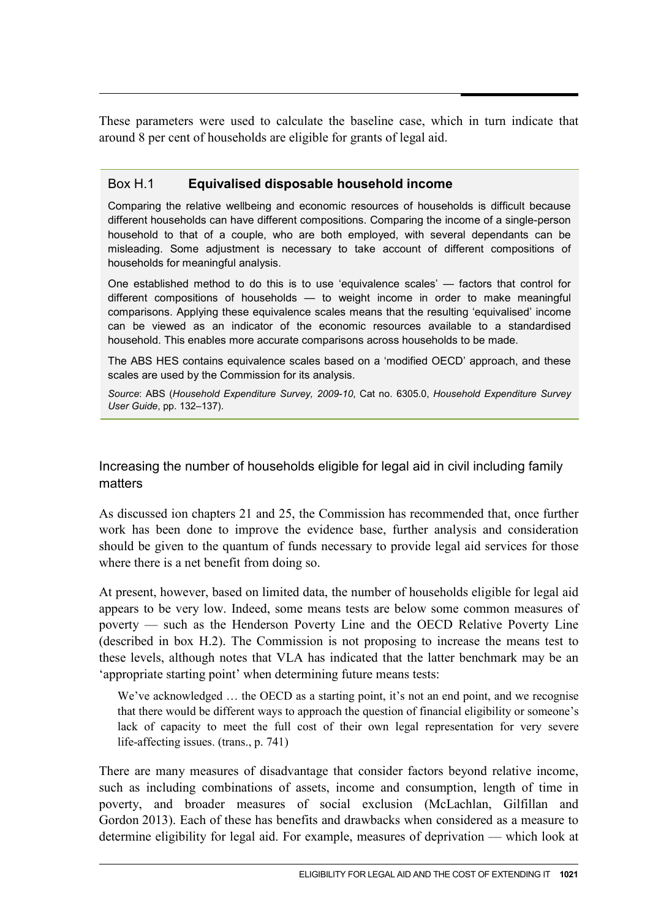These parameters were used to calculate the baseline case, which in turn indicate that around 8 per cent of households are eligible for grants of legal aid.

#### Box H.1 **Equivalised disposable household income**

Comparing the relative wellbeing and economic resources of households is difficult because different households can have different compositions. Comparing the income of a single-person household to that of a couple, who are both employed, with several dependants can be misleading. Some adjustment is necessary to take account of different compositions of households for meaningful analysis.

One established method to do this is to use 'equivalence scales' — factors that control for different compositions of households — to weight income in order to make meaningful comparisons. Applying these equivalence scales means that the resulting 'equivalised' income can be viewed as an indicator of the economic resources available to a standardised household. This enables more accurate comparisons across households to be made.

The ABS HES contains equivalence scales based on a 'modified OECD' approach, and these scales are used by the Commission for its analysis.

*Source*: ABS (*Household Expenditure Survey, 2009-10*, Cat no. 6305.0, *Household Expenditure Survey User Guide*, pp. 132–137).

Increasing the number of households eligible for legal aid in civil including family matters

As discussed ion chapters 21 and 25, the Commission has recommended that, once further work has been done to improve the evidence base, further analysis and consideration should be given to the quantum of funds necessary to provide legal aid services for those where there is a net benefit from doing so.

At present, however, based on limited data, the number of households eligible for legal aid appears to be very low. Indeed, some means tests are below some common measures of poverty — such as the Henderson Poverty Line and the OECD Relative Poverty Line (described in box H.2). The Commission is not proposing to increase the means test to these levels, although notes that VLA has indicated that the latter benchmark may be an 'appropriate starting point' when determining future means tests:

We've acknowledged ... the OECD as a starting point, it's not an end point, and we recognise that there would be different ways to approach the question of financial eligibility or someone's lack of capacity to meet the full cost of their own legal representation for very severe life-affecting issues. (trans., p. 741)

There are many measures of disadvantage that consider factors beyond relative income, such as including combinations of assets, income and consumption, length of time in poverty, and broader measures of social exclusion (McLachlan, Gilfillan and Gordon 2013). Each of these has benefits and drawbacks when considered as a measure to determine eligibility for legal aid. For example, measures of deprivation — which look at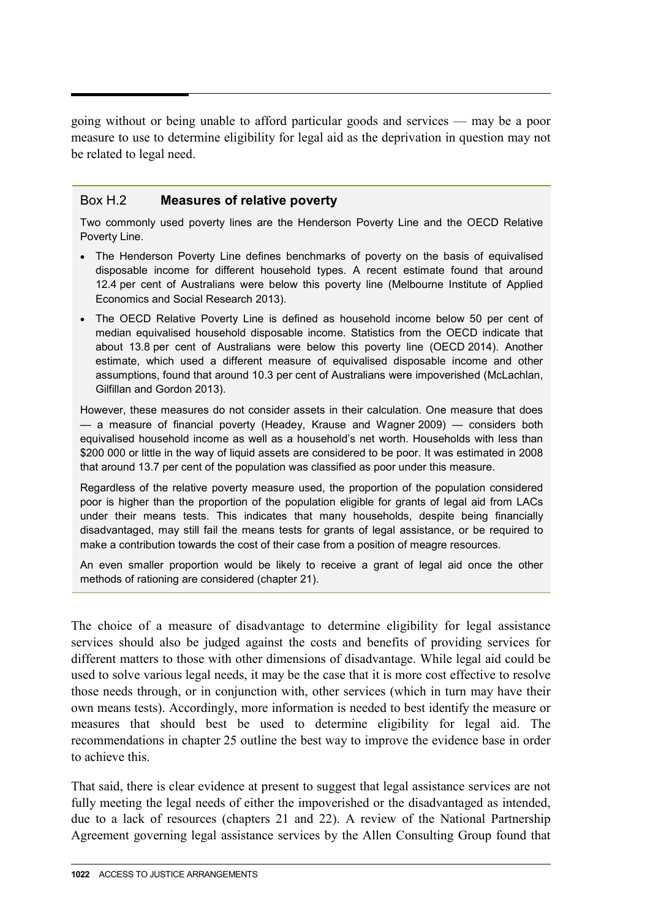going without or being unable to afford particular goods and services — may be a poor measure to use to determine eligibility for legal aid as the deprivation in question may not be related to legal need.

#### Box H.2 **Measures of relative poverty**

Two commonly used poverty lines are the Henderson Poverty Line and the OECD Relative Poverty Line.

- The Henderson Poverty Line defines benchmarks of poverty on the basis of equivalised disposable income for different household types. A recent estimate found that around 12.4 per cent of Australians were below this poverty line (Melbourne Institute of Applied Economics and Social Research 2013).
- The OECD Relative Poverty Line is defined as household income below 50 per cent of median equivalised household disposable income. Statistics from the OECD indicate that about 13.8 per cent of Australians were below this poverty line (OECD 2014). Another estimate, which used a different measure of equivalised disposable income and other assumptions, found that around 10.3 per cent of Australians were impoverished (McLachlan, Gilfillan and Gordon 2013).

However, these measures do not consider assets in their calculation. One measure that does — a measure of financial poverty (Headey, Krause and Wagner 2009) — considers both equivalised household income as well as a household's net worth. Households with less than \$200 000 or little in the way of liquid assets are considered to be poor. It was estimated in 2008 that around 13.7 per cent of the population was classified as poor under this measure.

Regardless of the relative poverty measure used, the proportion of the population considered poor is higher than the proportion of the population eligible for grants of legal aid from LACs under their means tests. This indicates that many households, despite being financially disadvantaged, may still fail the means tests for grants of legal assistance, or be required to make a contribution towards the cost of their case from a position of meagre resources.

An even smaller proportion would be likely to receive a grant of legal aid once the other methods of rationing are considered (chapter 21).

The choice of a measure of disadvantage to determine eligibility for legal assistance services should also be judged against the costs and benefits of providing services for different matters to those with other dimensions of disadvantage. While legal aid could be used to solve various legal needs, it may be the case that it is more cost effective to resolve those needs through, or in conjunction with, other services (which in turn may have their own means tests). Accordingly, more information is needed to best identify the measure or measures that should best be used to determine eligibility for legal aid. The recommendations in chapter 25 outline the best way to improve the evidence base in order to achieve this.

That said, there is clear evidence at present to suggest that legal assistance services are not fully meeting the legal needs of either the impoverished or the disadvantaged as intended, due to a lack of resources (chapters 21 and 22). A review of the National Partnership Agreement governing legal assistance services by the Allen Consulting Group found that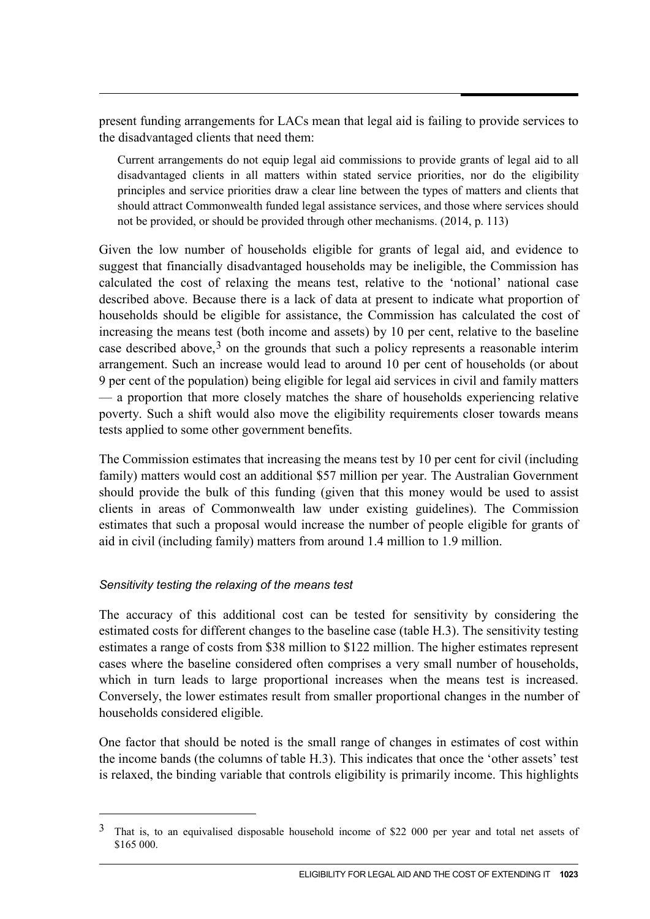present funding arrangements for LACs mean that legal aid is failing to provide services to the disadvantaged clients that need them:

Current arrangements do not equip legal aid commissions to provide grants of legal aid to all disadvantaged clients in all matters within stated service priorities, nor do the eligibility principles and service priorities draw a clear line between the types of matters and clients that should attract Commonwealth funded legal assistance services, and those where services should not be provided, or should be provided through other mechanisms. (2014, p. 113)

Given the low number of households eligible for grants of legal aid, and evidence to suggest that financially disadvantaged households may be ineligible, the Commission has calculated the cost of relaxing the means test, relative to the 'notional' national case described above. Because there is a lack of data at present to indicate what proportion of households should be eligible for assistance, the Commission has calculated the cost of increasing the means test (both income and assets) by 10 per cent, relative to the baseline case described above,  $3$  on the grounds that such a policy represents a reasonable interim arrangement. Such an increase would lead to around 10 per cent of households (or about 9 per cent of the population) being eligible for legal aid services in civil and family matters — a proportion that more closely matches the share of households experiencing relative poverty. Such a shift would also move the eligibility requirements closer towards means tests applied to some other government benefits.

The Commission estimates that increasing the means test by 10 per cent for civil (including family) matters would cost an additional \$57 million per year. The Australian Government should provide the bulk of this funding (given that this money would be used to assist clients in areas of Commonwealth law under existing guidelines). The Commission estimates that such a proposal would increase the number of people eligible for grants of aid in civil (including family) matters from around 1.4 million to 1.9 million.

#### *Sensitivity testing the relaxing of the means test*

-

The accuracy of this additional cost can be tested for sensitivity by considering the estimated costs for different changes to the baseline case (table H.3). The sensitivity testing estimates a range of costs from \$38 million to \$122 million. The higher estimates represent cases where the baseline considered often comprises a very small number of households, which in turn leads to large proportional increases when the means test is increased. Conversely, the lower estimates result from smaller proportional changes in the number of households considered eligible.

One factor that should be noted is the small range of changes in estimates of cost within the income bands (the columns of table H.3). This indicates that once the 'other assets' test is relaxed, the binding variable that controls eligibility is primarily income. This highlights

<span id="page-10-0"></span> $3$  That is, to an equivalised disposable household income of \$22 000 per year and total net assets of \$165 000.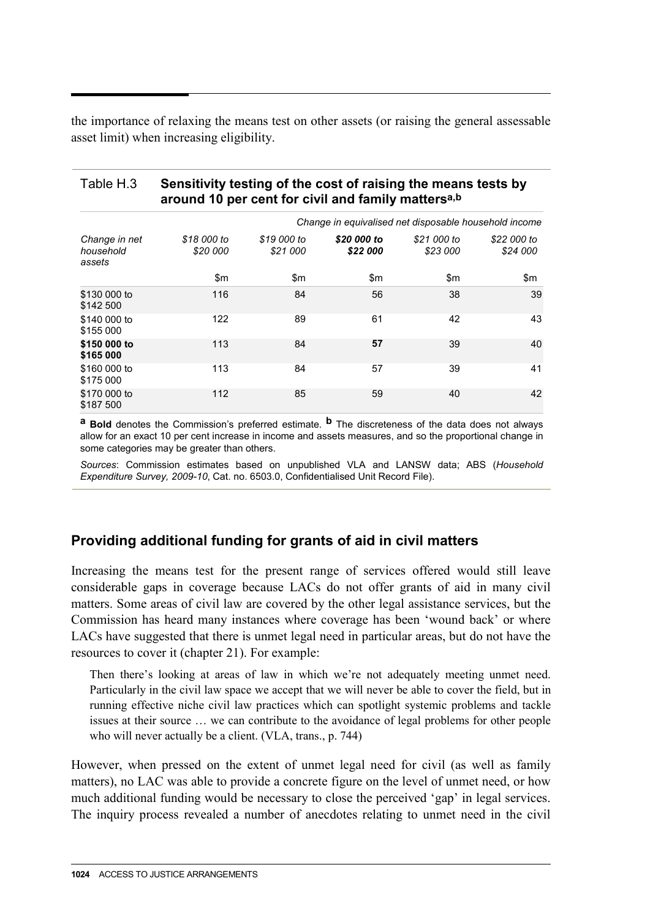the importance of relaxing the means test on other assets (or raising the general assessable asset limit) when increasing eligibility.

#### Table H.3 **Sensitivity testing of the cost of raising the means tests by around 10 per cent for civil and family mattersa,b**

|                                      | Change in equivalised net disposable household income |                         |                         |                         |                         |  |
|--------------------------------------|-------------------------------------------------------|-------------------------|-------------------------|-------------------------|-------------------------|--|
| Change in net<br>household<br>assets | \$18 000 to<br>\$20 000                               | \$19 000 to<br>\$21 000 | \$20 000 to<br>\$22 000 | \$21 000 to<br>\$23 000 | \$22 000 to<br>\$24 000 |  |
|                                      | \$m                                                   | $\mathsf{S}$ m          | $\mathsf{S}$ m          | \$m                     | \$m                     |  |
| \$130 000 to<br>\$142 500            | 116                                                   | 84                      | 56                      | 38                      | 39                      |  |
| \$140 000 to<br>\$155 000            | 122                                                   | 89                      | 61                      | 42                      | 43                      |  |
| \$150 000 to<br>\$165 000            | 113                                                   | 84                      | 57                      | 39                      | 40                      |  |
| \$160 000 to<br>\$175 000            | 113                                                   | 84                      | 57                      | 39                      | 41                      |  |
| \$170 000 to<br>\$187 500            | 112                                                   | 85                      | 59                      | 40                      | 42                      |  |

**a Bold** denotes the Commission's preferred estimate. **b** The discreteness of the data does not always allow for an exact 10 per cent increase in income and assets measures, and so the proportional change in some categories may be greater than others.

*Sources*: Commission estimates based on unpublished VLA and LANSW data; ABS (*Household Expenditure Survey, 2009-10*, Cat. no. 6503.0, Confidentialised Unit Record File).

## **Providing additional funding for grants of aid in civil matters**

Increasing the means test for the present range of services offered would still leave considerable gaps in coverage because LACs do not offer grants of aid in many civil matters. Some areas of civil law are covered by the other legal assistance services, but the Commission has heard many instances where coverage has been 'wound back' or where LACs have suggested that there is unmet legal need in particular areas, but do not have the resources to cover it (chapter 21). For example:

Then there's looking at areas of law in which we're not adequately meeting unmet need. Particularly in the civil law space we accept that we will never be able to cover the field, but in running effective niche civil law practices which can spotlight systemic problems and tackle issues at their source … we can contribute to the avoidance of legal problems for other people who will never actually be a client. (VLA, trans., p. 744)

However, when pressed on the extent of unmet legal need for civil (as well as family matters), no LAC was able to provide a concrete figure on the level of unmet need, or how much additional funding would be necessary to close the perceived 'gap' in legal services. The inquiry process revealed a number of anecdotes relating to unmet need in the civil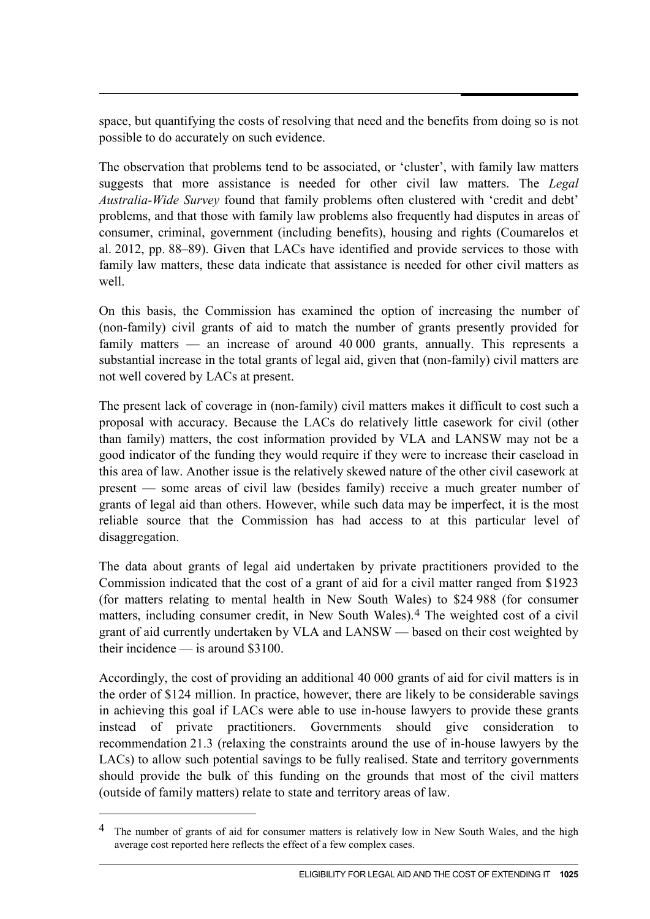space, but quantifying the costs of resolving that need and the benefits from doing so is not possible to do accurately on such evidence.

The observation that problems tend to be associated, or 'cluster', with family law matters suggests that more assistance is needed for other civil law matters. The *Legal Australia-Wide Survey* found that family problems often clustered with 'credit and debt' problems, and that those with family law problems also frequently had disputes in areas of consumer, criminal, government (including benefits), housing and rights (Coumarelos et al. 2012, pp. 88–89). Given that LACs have identified and provide services to those with family law matters, these data indicate that assistance is needed for other civil matters as well.

On this basis, the Commission has examined the option of increasing the number of (non-family) civil grants of aid to match the number of grants presently provided for family matters — an increase of around 40 000 grants, annually. This represents a substantial increase in the total grants of legal aid, given that (non-family) civil matters are not well covered by LACs at present.

The present lack of coverage in (non-family) civil matters makes it difficult to cost such a proposal with accuracy. Because the LACs do relatively little casework for civil (other than family) matters, the cost information provided by VLA and LANSW may not be a good indicator of the funding they would require if they were to increase their caseload in this area of law. Another issue is the relatively skewed nature of the other civil casework at present — some areas of civil law (besides family) receive a much greater number of grants of legal aid than others. However, while such data may be imperfect, it is the most reliable source that the Commission has had access to at this particular level of disaggregation.

The data about grants of legal aid undertaken by private practitioners provided to the Commission indicated that the cost of a grant of aid for a civil matter ranged from \$1923 (for matters relating to mental health in New South Wales) to \$24 988 (for consumer matters, including consumer credit, in New South Wales).[4](#page-10-0) The weighted cost of a civil grant of aid currently undertaken by VLA and LANSW — based on their cost weighted by their incidence — is around \$3100.

Accordingly, the cost of providing an additional 40 000 grants of aid for civil matters is in the order of \$124 million. In practice, however, there are likely to be considerable savings in achieving this goal if LACs were able to use in-house lawyers to provide these grants instead of private practitioners. Governments should give consideration to recommendation 21.3 (relaxing the constraints around the use of in-house lawyers by the LACs) to allow such potential savings to be fully realised. State and territory governments should provide the bulk of this funding on the grounds that most of the civil matters (outside of family matters) relate to state and territory areas of law.

-

<sup>&</sup>lt;sup>4</sup> The number of grants of aid for consumer matters is relatively low in New South Wales, and the high average cost reported here reflects the effect of a few complex cases.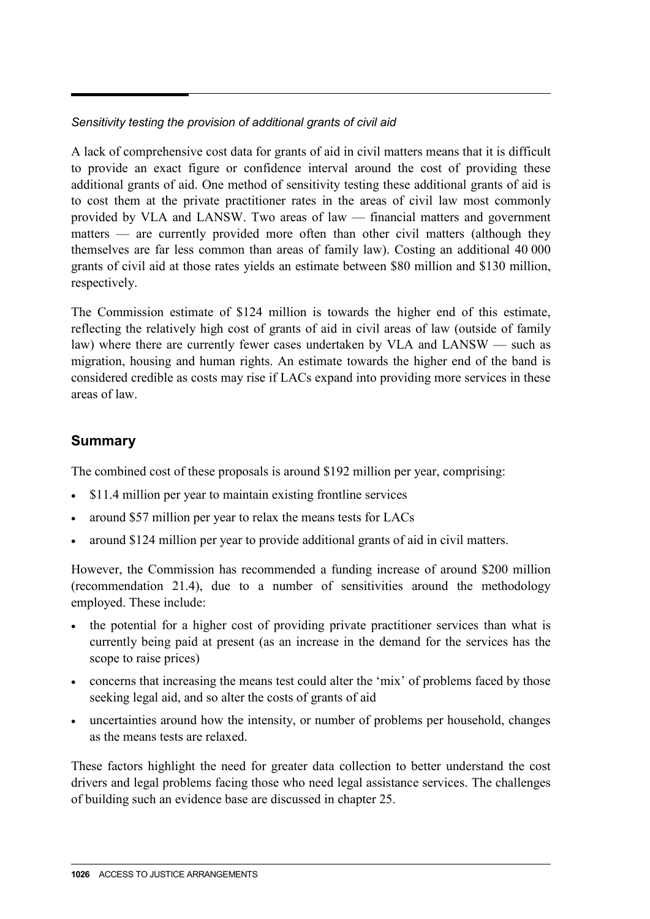#### *Sensitivity testing the provision of additional grants of civil aid*

A lack of comprehensive cost data for grants of aid in civil matters means that it is difficult to provide an exact figure or confidence interval around the cost of providing these additional grants of aid. One method of sensitivity testing these additional grants of aid is to cost them at the private practitioner rates in the areas of civil law most commonly provided by VLA and LANSW. Two areas of law — financial matters and government matters — are currently provided more often than other civil matters (although they themselves are far less common than areas of family law). Costing an additional 40 000 grants of civil aid at those rates yields an estimate between \$80 million and \$130 million, respectively.

The Commission estimate of \$124 million is towards the higher end of this estimate, reflecting the relatively high cost of grants of aid in civil areas of law (outside of family law) where there are currently fewer cases undertaken by VLA and LANSW — such as migration, housing and human rights. An estimate towards the higher end of the band is considered credible as costs may rise if LACs expand into providing more services in these areas of law.

## **Summary**

The combined cost of these proposals is around \$192 million per year, comprising:

- \$11.4 million per year to maintain existing frontline services
- around \$57 million per year to relax the means tests for LACs
- around \$124 million per year to provide additional grants of aid in civil matters.

However, the Commission has recommended a funding increase of around \$200 million (recommendation 21.4), due to a number of sensitivities around the methodology employed. These include:

- the potential for a higher cost of providing private practitioner services than what is currently being paid at present (as an increase in the demand for the services has the scope to raise prices)
- concerns that increasing the means test could alter the 'mix' of problems faced by those seeking legal aid, and so alter the costs of grants of aid
- uncertainties around how the intensity, or number of problems per household, changes as the means tests are relaxed.

These factors highlight the need for greater data collection to better understand the cost drivers and legal problems facing those who need legal assistance services. The challenges of building such an evidence base are discussed in chapter 25.